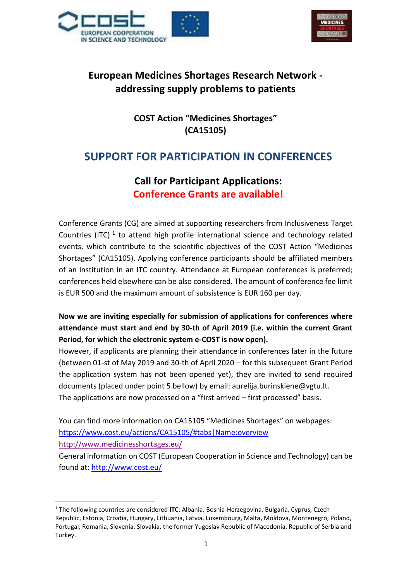



# **European Medicines Shortages Research Network addressing supply problems to patients**

**COST Action "Medicines Shortages" (CA15105)**

# **SUPPORT FOR PARTICIPATION IN CONFERENCES**

# **Call for Participant Applications: Conference Grants are available!**

Conference Grants (CG) are aimed at supporting researchers from Inclusiveness Target Countries (ITC)  $^1$  to attend high profile international science and technology related events, which contribute to the scientific objectives of the COST Action "Medicines Shortages" (CA15105). Applying conference participants should be affiliated members of an institution in an ITC country. Attendance at European conferences is preferred; conferences held elsewhere can be also considered. The amount of conference fee limit is EUR 500 and the maximum amount of subsistence is EUR 160 per day.

**Now we are inviting especially for submission of applications for conferences where attendance must start and end by 30-th of April 2019 (i.e. within the current Grant Period, for which the electronic system e-COST is now open).**

However, if applicants are planning their attendance in conferences later in the future (between 01-st of May 2019 and 30-th of April 2020 – for this subsequent Grant Period the application system has not been opened yet), they are invited to send required documents (placed under point 5 bellow) by email: aurelija.burinskiene@vgtu.lt. The applications are now processed on a "first arrived – first processed" basis.

You can find more information on CA15105 "Medicines Shortages" on webpages: <https://www.cost.eu/actions/CA15105/#tabs|Name:overview>

<http://www.medicinesshortages.eu/>

 $\ddot{\phantom{a}}$ 

General information on COST (European Cooperation in Science and Technology) can be found at: <http://www.cost.eu/>

<sup>1</sup> The following countries are considered **ITC**: Albania, Bosnia-Herzegovina, Bulgaria, Cyprus, Czech Republic, Estonia, Croatia, Hungary, Lithuania, Latvia, Luxembourg, Malta, Moldova, Montenegro, Poland, Portugal, Romania, Slovenia, Slovakia, the former Yugoslav Republic of Macedonia, Republic of Serbia and Turkey.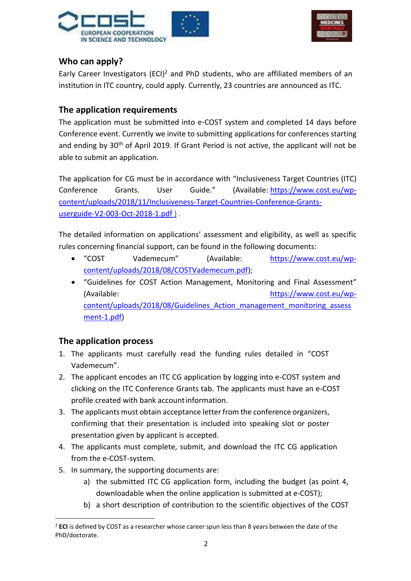



### **Who can apply?**

Early Career Investigators (ECI)<sup>2</sup> and PhD students, who are affiliated members of an institution in ITC country, could apply. Currently, 23 countries are announced as ITC.

#### **The application requirements**

The application must be submitted into e-COST system and completed 14 days before Conference event. Currently we invite to submitting applications for conferences starting and ending by 30<sup>th</sup> of April 2019. If Grant Period is not active, the applicant will not be able to submit an application.

The application for CG must be in accordance with "Inclusiveness Target Countries (ITC) Conference Grants. User Guide." (Available: [https://www.cost.eu/wp](https://www.cost.eu/wp-content/uploads/2018/11/Inclusiveness-Target-Countries-Conference-Grants-userguide-V2-003-Oct-2018-1.pdf)[content/uploads/2018/11/Inclusiveness-Target-Countries-Conference-Grants](https://www.cost.eu/wp-content/uploads/2018/11/Inclusiveness-Target-Countries-Conference-Grants-userguide-V2-003-Oct-2018-1.pdf)[userguide-V2-003-Oct-2018-1.pdf](https://www.cost.eu/wp-content/uploads/2018/11/Inclusiveness-Target-Countries-Conference-Grants-userguide-V2-003-Oct-2018-1.pdf)).

The detailed information on applications' assessment and eligibility, as well as specific rules concerning financial support, can be found in the following documents:

- "COST Vademecum" (Available: [https://www.cost.eu/wp](https://www.cost.eu/wp-content/uploads/2018/08/COSTVademecum.pdf)[content/uploads/2018/08/COSTVademecum.pdf\)](https://www.cost.eu/wp-content/uploads/2018/08/COSTVademecum.pdf);
- "Guidelines for COST Action Management, Monitoring and Final Assessment" (Available: [https://www.cost.eu/wp](https://www.cost.eu/wp-content/uploads/2018/08/Guidelines_Action_management_monitoring_assessment-1.pdf)[content/uploads/2018/08/Guidelines\\_Action\\_management\\_monitoring\\_assess](https://www.cost.eu/wp-content/uploads/2018/08/Guidelines_Action_management_monitoring_assessment-1.pdf) [ment-1.pdf\)](https://www.cost.eu/wp-content/uploads/2018/08/Guidelines_Action_management_monitoring_assessment-1.pdf)

### **The application process**

- 1. The applicants must carefully read the funding rules detailed in "COST Vademecum".
- 2. The applicant encodes an ITC CG application by logging into e-COST system and clicking on the ITC Conference Grants tab. The applicants must have an e-COST profile created with bank accountinformation.
- 3. The applicants must obtain acceptance letter from the conference organizers, confirming that their presentation is included into speaking slot or poster presentation given by applicant is accepted.
- 4. The applicants must complete, submit, and download the ITC CG application from the e-COST-system.
- 5. In summary, the supporting documents are:
	- a) the submitted ITC CG application form, including the budget (as point 4, downloadable when the online application is submitted at e-COST);
	- b) a short description of contribution to the scientific objectives of the COST

 $\ddot{\phantom{a}}$ <sup>2</sup> **ECI** is defined by COST as a researcher whose career spun less than 8 years between the date of the PhD/doctorate.